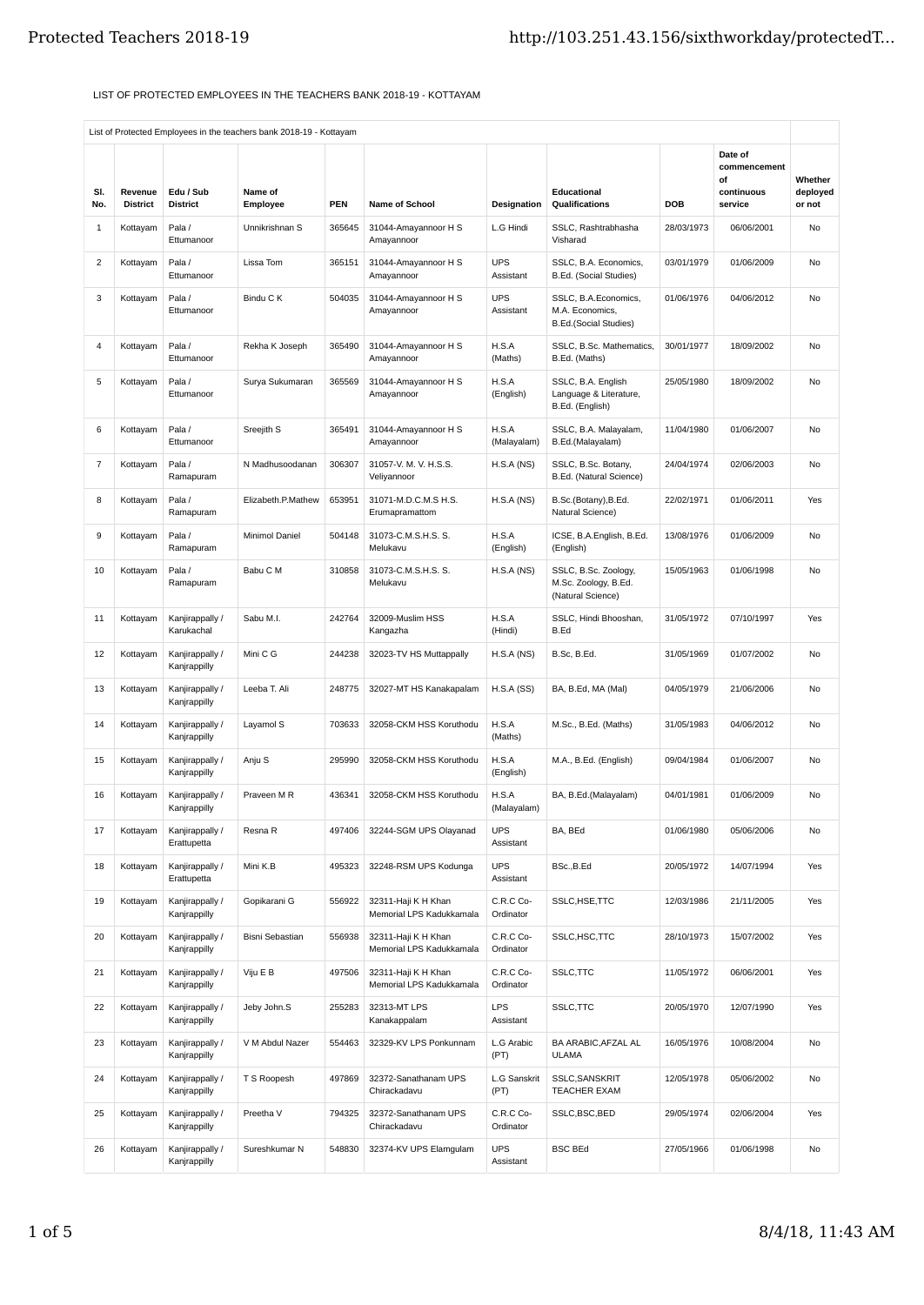## LIST OF PROTECTED EMPLOYEES IN THE TEACHERS BANK 2018-19 - KOTTAYAM

|                |                             |                                 | List of Protected Employees in the teachers bank 2018-19 - Kottayam |                      |                                                 |                          |                                                                         |                          |                                             |                     |
|----------------|-----------------------------|---------------------------------|---------------------------------------------------------------------|----------------------|-------------------------------------------------|--------------------------|-------------------------------------------------------------------------|--------------------------|---------------------------------------------|---------------------|
| SI.            | Revenue                     | Edu / Sub                       | Name of                                                             |                      |                                                 |                          | Educational                                                             |                          | Date of<br>commencement<br>οf<br>continuous | Whether<br>deployed |
| No.<br>1       | <b>District</b><br>Kottayam | <b>District</b><br>Pala /       | Employee<br>Unnikrishnan S                                          | <b>PEN</b><br>365645 | Name of School<br>31044-Amayannoor H S          | Designation<br>L.G Hindi | <b>Qualifications</b><br>SSLC, Rashtrabhasha                            | <b>DOB</b><br>28/03/1973 | service<br>06/06/2001                       | or not<br>No        |
| $\overline{2}$ |                             | Ettumanoor<br>Pala /            | Lissa Tom                                                           | 365151               | Amayannoor<br>31044-Amayannoor H S              | <b>UPS</b>               | Visharad<br>SSLC, B.A. Economics,                                       | 03/01/1979               | 01/06/2009                                  | No                  |
|                | Kottayam                    | Ettumanoor                      |                                                                     |                      | Amayannoor                                      | Assistant                | B.Ed. (Social Studies)                                                  |                          |                                             |                     |
| 3              | Kottayam                    | Pala /<br>Ettumanoor            | Bindu C K                                                           | 504035               | 31044-Amayannoor H S<br>Amayannoor              | <b>UPS</b><br>Assistant  | SSLC, B.A.Economics,<br>M.A. Economics,<br><b>B.Ed.(Social Studies)</b> | 01/06/1976               | 04/06/2012                                  | No                  |
| $\overline{4}$ | Kottayam                    | Pala /<br>Ettumanoor            | Rekha K Joseph                                                      | 365490               | 31044-Amayannoor H S<br>Amayannoor              | H.S.A<br>(Maths)         | SSLC, B.Sc. Mathematics,<br>B.Ed. (Maths)                               | 30/01/1977               | 18/09/2002                                  | No                  |
| 5              | Kottayam                    | Pala /<br>Ettumanoor            | Surya Sukumaran                                                     | 365569               | 31044-Amayannoor H S<br>Amayannoor              | H.S.A<br>(English)       | SSLC, B.A. English<br>Language & Literature,<br>B.Ed. (English)         | 25/05/1980               | 18/09/2002                                  | No                  |
| 6              | Kottayam                    | Pala /<br>Ettumanoor            | Sreejith S                                                          | 365491               | 31044-Amayannoor H S<br>Amayannoor              | H.S.A<br>(Malayalam)     | SSLC, B.A. Malayalam,<br>B.Ed.(Malayalam)                               | 11/04/1980               | 01/06/2007                                  | No                  |
| $\overline{7}$ | Kottayam                    | Pala /<br>Ramapuram             | N Madhusoodanan                                                     | 306307               | 31057-V. M. V. H.S.S.<br>Veliyannoor            | H.S.A(NS)                | SSLC, B.Sc. Botany,<br>B.Ed. (Natural Science)                          | 24/04/1974               | 02/06/2003                                  | No                  |
| 8              | Kottayam                    | Pala /<br>Ramapuram             | Elizabeth.P.Mathew                                                  | 653951               | 31071-M.D.C.M.S H.S.<br>Erumapramattom          | H.S.A(NS)                | B.Sc.(Botany), B.Ed.<br>Natural Science)                                | 22/02/1971               | 01/06/2011                                  | Yes                 |
| 9              | Kottayam                    | Pala /<br>Ramapuram             | Minimol Daniel                                                      | 504148               | 31073-C.M.S.H.S. S.<br>Melukavu                 | H.S.A<br>(English)       | ICSE, B.A.English, B.Ed.<br>(English)                                   | 13/08/1976               | 01/06/2009                                  | No                  |
| 10             | Kottayam                    | Pala /<br>Ramapuram             | Babu C M                                                            | 310858               | 31073-C.M.S.H.S. S.<br>Melukavu                 | H.S.A(NS)                | SSLC, B.Sc. Zoology,<br>M.Sc. Zoology, B.Ed.<br>(Natural Science)       | 15/05/1963               | 01/06/1998                                  | No                  |
| 11             | Kottayam                    | Kanjirappally /<br>Karukachal   | Sabu M.I.                                                           | 242764               | 32009-Muslim HSS<br>Kangazha                    | H.S.A<br>(Hindi)         | SSLC, Hindi Bhooshan,<br>B.Ed                                           | 31/05/1972               | 07/10/1997                                  | Yes                 |
| 12             | Kottayam                    | Kanjirappally /<br>Kanjrappilly | Mini C G                                                            | 244238               | 32023-TV HS Muttappally                         | H.S.A(NS)                | B.Sc, B.Ed.                                                             | 31/05/1969               | 01/07/2002                                  | No                  |
| 13             | Kottayam                    | Kanjirappally /<br>Kanjrappilly | Leeba T. Ali                                                        | 248775               | 32027-MT HS Kanakapalam                         | H.S.A(SS)                | BA, B.Ed, MA (Mal)                                                      | 04/05/1979               | 21/06/2006                                  | No                  |
| 14             | Kottayam                    | Kanjirappally /<br>Kanjrappilly | Layamol S                                                           | 703633               | 32058-CKM HSS Koruthodu                         | H.S.A<br>(Maths)         | M.Sc., B.Ed. (Maths)                                                    | 31/05/1983               | 04/06/2012                                  | No                  |
| 15             | Kottayam                    | Kanjirappally /<br>Kanjrappilly | Anju S                                                              | 295990               | 32058-CKM HSS Koruthodu                         | H.S.A<br>(English)       | M.A., B.Ed. (English)                                                   | 09/04/1984               | 01/06/2007                                  | No                  |
| 16             | Kottayam                    | Kanjirappally /<br>Kanjrappilly | Praveen M R                                                         | 436341               | 32058-CKM HSS Koruthodu                         | H.S.A<br>(Malayalam)     | BA, B.Ed.(Malayalam)                                                    | 04/01/1981               | 01/06/2009                                  | No                  |
| 17             | Kottayam                    | Kanjirappally /<br>Erattupetta  | Resna R                                                             | 497406               | 32244-SGM UPS Olayanad                          | <b>UPS</b><br>Assistant  | BA, BEd                                                                 | 01/06/1980               | 05/06/2006                                  | No                  |
| 18             | Kottayam                    | Kanjirappally /<br>Erattupetta  | Mini K.B                                                            | 495323               | 32248-RSM UPS Kodunga                           | <b>UPS</b><br>Assistant  | BSc.,B.Ed                                                               | 20/05/1972               | 14/07/1994                                  | Yes                 |
| 19             | Kottayam                    | Kanjirappally /<br>Kanjrappilly | Gopikarani G                                                        | 556922               | 32311-Haji K H Khan<br>Memorial LPS Kadukkamala | C.R.C Co-<br>Ordinator   | SSLC, HSE, TTC                                                          | 12/03/1986               | 21/11/2005                                  | Yes                 |
| 20             | Kottayam                    | Kanjirappally /<br>Kanjrappilly | Bisni Sebastian                                                     | 556938               | 32311-Haji K H Khan<br>Memorial LPS Kadukkamala | C.R.C Co-<br>Ordinator   | SSLC, HSC, TTC                                                          | 28/10/1973               | 15/07/2002                                  | Yes                 |
| 21             | Kottayam                    | Kanjirappally /<br>Kanjrappilly | Viju E B                                                            | 497506               | 32311-Haji K H Khan<br>Memorial LPS Kadukkamala | C.R.C Co-<br>Ordinator   | SSLC, TTC                                                               | 11/05/1972               | 06/06/2001                                  | Yes                 |
| 22             | Kottayam                    | Kanjirappally /<br>Kanjrappilly | Jeby John.S                                                         | 255283               | 32313-MT LPS<br>Kanakappalam                    | LPS<br>Assistant         | SSLC, TTC                                                               | 20/05/1970               | 12/07/1990                                  | Yes                 |
| 23             | Kottayam                    | Kanjirappally /<br>Kanjrappilly | V M Abdul Nazer                                                     | 554463               | 32329-KV LPS Ponkunnam                          | L.G Arabic<br>(PT)       | BA ARABIC, AFZAL AL<br><b>ULAMA</b>                                     | 16/05/1976               | 10/08/2004                                  | No                  |
| 24             | Kottayam                    | Kanjirappally /<br>Kanjrappilly | T S Roopesh                                                         | 497869               | 32372-Sanathanam UPS<br>Chirackadavu            | L.G Sanskrit<br>(PT)     | SSLC, SANSKRIT<br><b>TEACHER EXAM</b>                                   | 12/05/1978               | 05/06/2002                                  | No                  |
| 25             | Kottayam                    | Kanjirappally /<br>Kanjrappilly | Preetha V                                                           | 794325               | 32372-Sanathanam UPS<br>Chirackadavu            | C.R.C Co-<br>Ordinator   | SSLC, BSC, BED                                                          | 29/05/1974               | 02/06/2004                                  | Yes                 |
| 26             | Kottayam                    | Kanjirappally /<br>Kanjrappilly | Sureshkumar N                                                       | 548830               | 32374-KV UPS Elamgulam                          | <b>UPS</b><br>Assistant  | <b>BSC BEd</b>                                                          | 27/05/1966               | 01/06/1998                                  | No                  |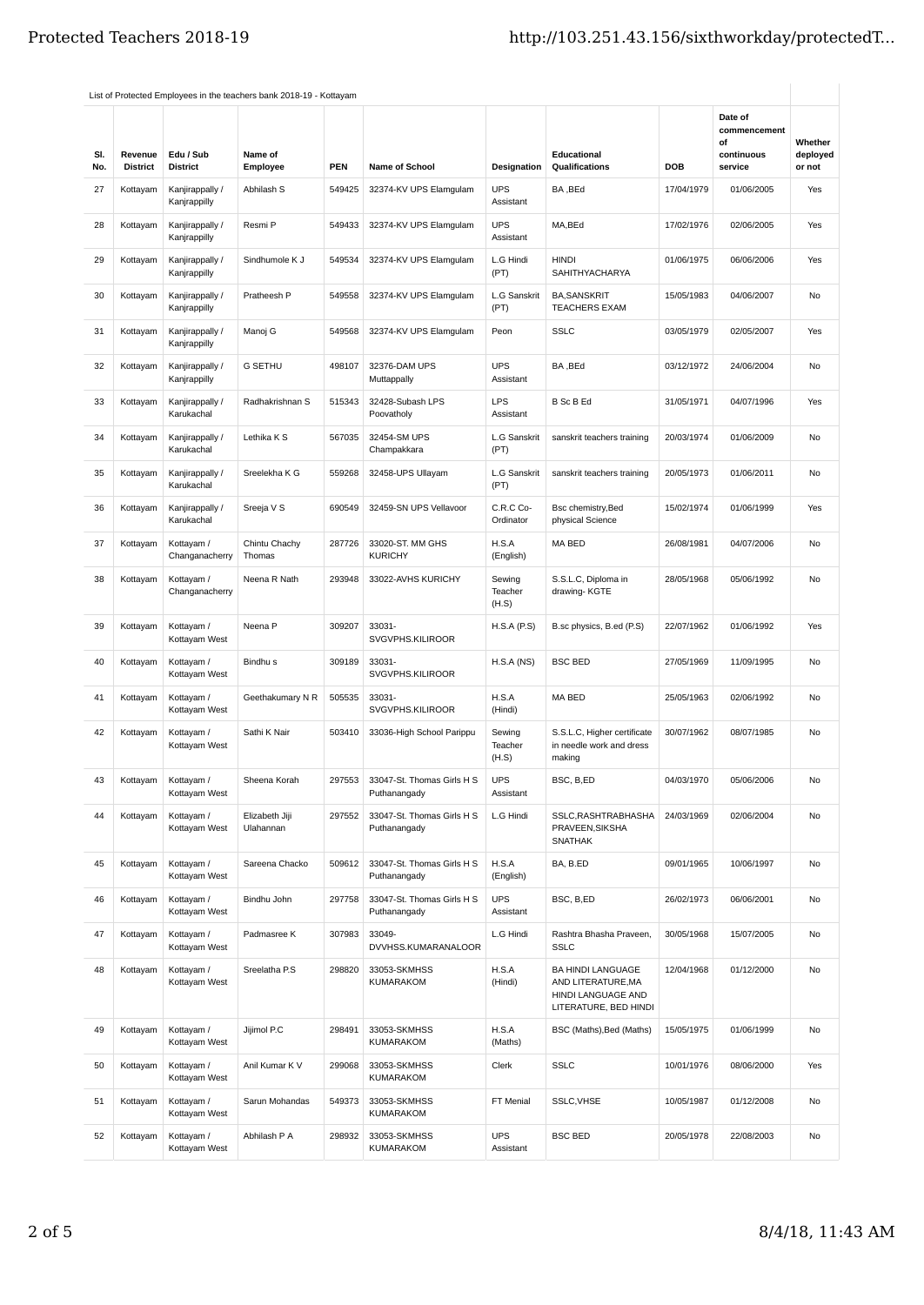| SI.<br>No. | Revenue<br><b>District</b> | Edu / Sub<br><b>District</b>    | Name of<br>Employee         | <b>PEN</b> | <b>Name of School</b>                      | Designation                | Educational<br><b>Qualifications</b>                                                   | <b>DOB</b> | Date of<br>commencement<br>οf<br>continuous<br>service | Whether<br>deployed<br>or not |
|------------|----------------------------|---------------------------------|-----------------------------|------------|--------------------------------------------|----------------------------|----------------------------------------------------------------------------------------|------------|--------------------------------------------------------|-------------------------------|
| 27         | Kottayam                   | Kanjirappally /<br>Kanjrappilly | Abhilash S                  | 549425     | 32374-KV UPS Elamgulam                     | <b>UPS</b><br>Assistant    | BA, BEd                                                                                | 17/04/1979 | 01/06/2005                                             | Yes                           |
| 28         | Kottayam                   | Kanjirappally /<br>Kanjrappilly | Resmi P                     | 549433     | 32374-KV UPS Elamgulam                     | <b>UPS</b><br>Assistant    | MA,BEd                                                                                 | 17/02/1976 | 02/06/2005                                             | Yes                           |
| 29         | Kottayam                   | Kanjirappally /<br>Kanjrappilly | Sindhumole K J              | 549534     | 32374-KV UPS Elamgulam                     | L.G Hindi<br>(PT)          | <b>HINDI</b><br><b>SAHITHYACHARYA</b>                                                  | 01/06/1975 | 06/06/2006                                             | Yes                           |
| 30         | Kottayam                   | Kanjirappally /<br>Kanjrappilly | Pratheesh P                 | 549558     | 32374-KV UPS Elamqulam                     | L.G Sanskrit<br>(PT)       | <b>BA, SANSKRIT</b><br><b>TEACHERS EXAM</b>                                            | 15/05/1983 | 04/06/2007                                             | <b>No</b>                     |
| 31         | Kottayam                   | Kanjirappally /<br>Kanjrappilly | Manoj G                     | 549568     | 32374-KV UPS Elamgulam                     | Peon                       | <b>SSLC</b>                                                                            | 03/05/1979 | 02/05/2007                                             | Yes                           |
| 32         | Kottayam                   | Kanjirappally /<br>Kanjrappilly | <b>G SETHU</b>              | 498107     | 32376-DAM UPS<br>Muttappally               | <b>UPS</b><br>Assistant    | BA, BEd                                                                                | 03/12/1972 | 24/06/2004                                             | No                            |
| 33         | Kottayam                   | Kanjirappally /<br>Karukachal   | Radhakrishnan S             | 515343     | 32428-Subash LPS<br>Poovatholy             | LPS<br>Assistant           | <b>B</b> Sc B Ed                                                                       | 31/05/1971 | 04/07/1996                                             | Yes                           |
| 34         | Kottayam                   | Kanjirappally /<br>Karukachal   | Lethika K S                 | 567035     | 32454-SM UPS<br>Champakkara                | L.G Sanskrit<br>(PT)       | sanskrit teachers training                                                             | 20/03/1974 | 01/06/2009                                             | No                            |
| 35         | Kottayam                   | Kanjirappally /<br>Karukachal   | Sreelekha K G               | 559268     | 32458-UPS Ullayam                          | L.G Sanskrit<br>(PT)       | sanskrit teachers training                                                             | 20/05/1973 | 01/06/2011                                             | <b>No</b>                     |
| 36         | Kottayam                   | Kanjirappally /<br>Karukachal   | Sreeja V S                  | 690549     | 32459-SN UPS Vellavoor                     | C.R.C Co-<br>Ordinator     | Bsc chemistry, Bed<br>physical Science                                                 | 15/02/1974 | 01/06/1999                                             | Yes                           |
| 37         | Kottayam                   | Kottayam /<br>Changanacherry    | Chintu Chachy<br>Thomas     | 287726     | 33020-ST. MM GHS<br><b>KURICHY</b>         | H.S.A<br>(English)         | MA BED                                                                                 | 26/08/1981 | 04/07/2006                                             | No                            |
| 38         | Kottayam                   | Kottayam /<br>Changanacherry    | Neena R Nath                | 293948     | 33022-AVHS KURICHY                         | Sewing<br>Teacher<br>(H.S) | S.S.L.C, Diploma in<br>drawing-KGTE                                                    | 28/05/1968 | 05/06/1992                                             | No                            |
| 39         | Kottayam                   | Kottayam /<br>Kottayam West     | Neena <sub>P</sub>          | 309207     | 33031-<br>SVGVPHS.KILIROOR                 | H.S.A(P.S)                 | B.sc physics, B.ed (P.S)                                                               | 22/07/1962 | 01/06/1992                                             | Yes                           |
| 40         | Kottayam                   | Kottayam /<br>Kottayam West     | Bindhu <sub>s</sub>         | 309189     | 33031-<br>SVGVPHS.KILIROOR                 | H.S.A(NS)                  | <b>BSC BED</b>                                                                         | 27/05/1969 | 11/09/1995                                             | No                            |
| 41         | Kottayam                   | Kottayam /<br>Kottayam West     | Geethakumary N R            | 505535     | 33031-<br>SVGVPHS.KILIROOR                 | H.S.A<br>(Hindi)           | MA BED                                                                                 | 25/05/1963 | 02/06/1992                                             | No                            |
| 42         | Kottayam                   | Kottayam /<br>Kottayam West     | Sathi K Nair                | 503410     | 33036-High School Parippu                  | Sewing<br>Teacher<br>(H.S) | S.S.L.C, Higher certificate<br>in needle work and dress<br>making                      | 30/07/1962 | 08/07/1985                                             | No                            |
| 43         | Kottayam                   | Kottayam /<br>Kottayam West     | Sheena Korah                | 297553     | 33047-St. Thomas Girls H S<br>Puthanangady | <b>UPS</b><br>Assistant    | BSC, B,ED                                                                              | 04/03/1970 | 05/06/2006                                             | No                            |
| 44         | Kottayam                   | Kottayam /<br>Kottayam West     | Elizabeth Jiji<br>Ulahannan | 297552     | 33047-St. Thomas Girls H S<br>Puthanangady | L.G Hindi                  | SSLC, RASHTRABHASHA<br>PRAVEEN, SIKSHA<br>SNATHAK                                      | 24/03/1969 | 02/06/2004                                             | No                            |
| 45         | Kottayam                   | Kottayam /<br>Kottayam West     | Sareena Chacko              | 509612     | 33047-St. Thomas Girls H S<br>Puthanangady | H.S.A<br>(English)         | BA, B.ED                                                                               | 09/01/1965 | 10/06/1997                                             | No                            |
| 46         | Kottayam                   | Kottayam /<br>Kottayam West     | Bindhu John                 | 297758     | 33047-St. Thomas Girls H S<br>Puthanangady | <b>UPS</b><br>Assistant    | BSC, B,ED                                                                              | 26/02/1973 | 06/06/2001                                             | No                            |
| 47         | Kottayam                   | Kottayam /<br>Kottayam West     | Padmasree K                 | 307983     | 33049-<br>DVVHSS.KUMARANALOOR              | L.G Hindi                  | Rashtra Bhasha Praveen,<br><b>SSLC</b>                                                 | 30/05/1968 | 15/07/2005                                             | No                            |
| 48         | Kottayam                   | Kottayam /<br>Kottayam West     | Sreelatha P.S               | 298820     | 33053-SKMHSS<br>KUMARAKOM                  | H.S.A<br>(Hindi)           | BA HINDI LANGUAGE<br>AND LITERATURE, MA<br>HINDI LANGUAGE AND<br>LITERATURE, BED HINDI | 12/04/1968 | 01/12/2000                                             | No                            |
| 49         | Kottayam                   | Kottayam /<br>Kottayam West     | Jijimol P.C                 | 298491     | 33053-SKMHSS<br>KUMARAKOM                  | H.S.A<br>(Maths)           | BSC (Maths), Bed (Maths)                                                               | 15/05/1975 | 01/06/1999                                             | No                            |
| 50         | Kottayam                   | Kottayam /<br>Kottayam West     | Anil Kumar K V              | 299068     | 33053-SKMHSS<br>KUMARAKOM                  | Clerk                      | <b>SSLC</b>                                                                            | 10/01/1976 | 08/06/2000                                             | Yes                           |
| 51         | Kottayam                   | Kottayam /<br>Kottayam West     | Sarun Mohandas              | 549373     | 33053-SKMHSS<br>KUMARAKOM                  | FT Menial                  | SSLC, VHSE                                                                             | 10/05/1987 | 01/12/2008                                             | No                            |
| 52         | Kottayam                   | Kottayam /<br>Kottayam West     | Abhilash P A                | 298932     | 33053-SKMHSS<br>KUMARAKOM                  | <b>UPS</b><br>Assistant    | <b>BSC BED</b>                                                                         | 20/05/1978 | 22/08/2003                                             | No                            |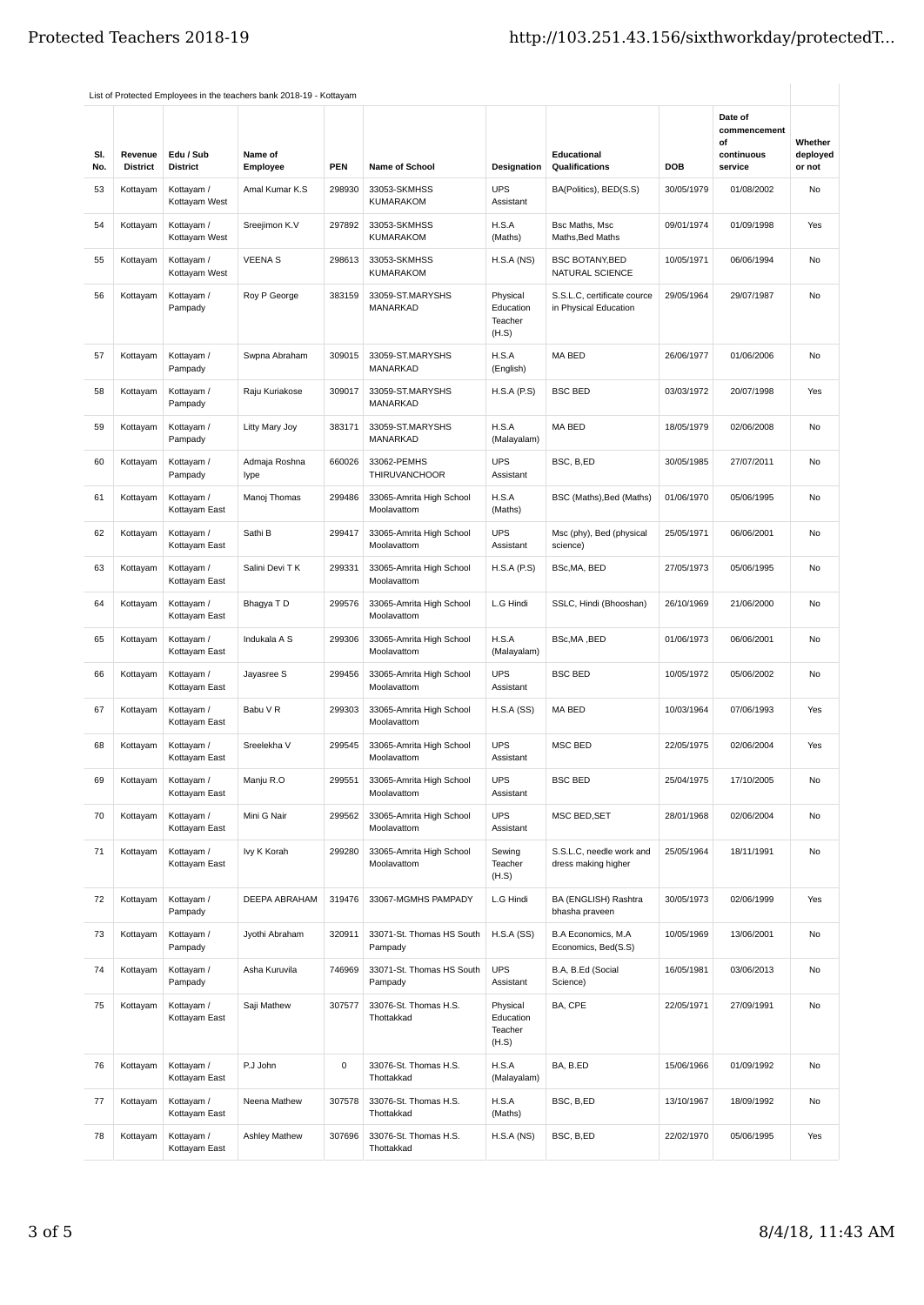| SI.<br>No. | Revenue<br><b>District</b> | Edu / Sub<br><b>District</b> | Name of<br>Employee   | <b>PEN</b>          | <b>Name of School</b>                   | <b>Designation</b>                        | Educational<br>Qualifications                        | <b>DOB</b> | Date of<br>commencement<br>οf<br>continuous<br>service | Whether<br>deployed<br>or not |
|------------|----------------------------|------------------------------|-----------------------|---------------------|-----------------------------------------|-------------------------------------------|------------------------------------------------------|------------|--------------------------------------------------------|-------------------------------|
| 53         | Kottayam                   | Kottayam /<br>Kottayam West  | Amal Kumar K.S        | 298930              | 33053-SKMHSS<br><b>KUMARAKOM</b>        | <b>UPS</b><br>Assistant                   | BA(Politics), BED(S.S)                               | 30/05/1979 | 01/08/2002                                             | No                            |
| 54         | Kottayam                   | Kottayam /<br>Kottayam West  | Sreejimon K.V         | 297892              | 33053-SKMHSS<br><b>KUMARAKOM</b>        | H.S.A<br>(Maths)                          | Bsc Maths, Msc<br>Maths, Bed Maths                   | 09/01/1974 | 01/09/1998                                             | Yes                           |
| 55         | Kottayam                   | Kottayam /<br>Kottayam West  | <b>VEENAS</b>         | 298613              | 33053-SKMHSS<br><b>KUMARAKOM</b>        | H.S.A(NS)                                 | <b>BSC BOTANY, BED</b><br>NATURAL SCIENCE            | 10/05/1971 | 06/06/1994                                             | No                            |
| 56         | Kottayam                   | Kottayam /<br>Pampady        | Roy P George          | 383159              | 33059-ST.MARYSHS<br>MANARKAD            | Physical<br>Education<br>Teacher<br>(H.S) | S.S.L.C, certificate cource<br>in Physical Education | 29/05/1964 | 29/07/1987                                             | No                            |
| 57         | Kottayam                   | Kottayam /<br>Pampady        | Swpna Abraham         | 309015              | 33059-ST.MARYSHS<br>MANARKAD            | H.S.A<br>(English)                        | MA BED                                               | 26/06/1977 | 01/06/2006                                             | No                            |
| 58         | Kottayam                   | Kottayam /<br>Pampady        | Raju Kuriakose        | 309017              | 33059-ST.MARYSHS<br>MANARKAD            | H.S.A(P.S)                                | <b>BSC BED</b>                                       | 03/03/1972 | 20/07/1998                                             | Yes                           |
| 59         | Kottayam                   | Kottayam /<br>Pampady        | Litty Mary Joy        | 383171              | 33059-ST.MARYSHS<br>MANARKAD            | H.S.A<br>(Malayalam)                      | MA BED                                               | 18/05/1979 | 02/06/2008                                             | No                            |
| 60         | Kottayam                   | Kottayam /<br>Pampady        | Admaja Roshna<br>lype | 660026              | 33062-PEMHS<br>THIRUVANCHOOR            | <b>UPS</b><br>Assistant                   | BSC, B,ED                                            | 30/05/1985 | 27/07/2011                                             | <b>No</b>                     |
| 61         | Kottayam                   | Kottayam /<br>Kottayam East  | Manoj Thomas          | 299486              | 33065-Amrita High School<br>Moolavattom | H.S.A<br>(Maths)                          | BSC (Maths), Bed (Maths)                             | 01/06/1970 | 05/06/1995                                             | No                            |
| 62         | Kottayam                   | Kottayam /<br>Kottayam East  | Sathi B               | 299417              | 33065-Amrita High School<br>Moolavattom | <b>UPS</b><br>Assistant                   | Msc (phy), Bed (physical<br>science)                 | 25/05/1971 | 06/06/2001                                             | No                            |
| 63         | Kottayam                   | Kottayam /<br>Kottayam East  | Salini Devi T K       | 299331              | 33065-Amrita High School<br>Moolavattom | H.S.A(P.S)                                | BSc, MA, BED                                         | 27/05/1973 | 05/06/1995                                             | No                            |
| 64         | Kottayam                   | Kottayam /<br>Kottayam East  | Bhagya T D            | 299576              | 33065-Amrita High School<br>Moolavattom | L.G Hindi                                 | SSLC, Hindi (Bhooshan)                               | 26/10/1969 | 21/06/2000                                             | No                            |
| 65         | Kottayam                   | Kottayam /<br>Kottayam East  | Indukala A S          | 299306              | 33065-Amrita High School<br>Moolavattom | H.S.A<br>(Malayalam)                      | BSc, MA, BED                                         | 01/06/1973 | 06/06/2001                                             | <b>No</b>                     |
| 66         | Kottayam                   | Kottayam /<br>Kottayam East  | Jayasree S            | 299456              | 33065-Amrita High School<br>Moolavattom | <b>UPS</b><br>Assistant                   | <b>BSC BED</b>                                       | 10/05/1972 | 05/06/2002                                             | No                            |
| 67         | Kottayam                   | Kottayam /<br>Kottayam East  | Babu V R              | 299303              | 33065-Amrita High School<br>Moolavattom | H.S.A(SS)                                 | MA BED                                               | 10/03/1964 | 07/06/1993                                             | Yes                           |
| 68         | Kottayam                   | Kottayam /<br>Kottayam East  | Sreelekha V           | 299545              | 33065-Amrita High School<br>Moolavattom | <b>UPS</b><br>Assistant                   | <b>MSC BED</b>                                       | 22/05/1975 | 02/06/2004                                             | Yes                           |
| 69         | Kottayam                   | Kottayam /<br>Kottayam East  | Manju R.O             | 299551              | 33065-Amrita High School<br>Moolavattom | <b>UPS</b><br>Assistant                   | <b>BSC BED</b>                                       | 25/04/1975 | 17/10/2005                                             | No                            |
| 70         | Kottayam                   | Kottayam /<br>Kottayam East  | Mini G Nair           | 299562              | 33065-Amrita High School<br>Moolavattom | <b>UPS</b><br>Assistant                   | MSC BED, SET                                         | 28/01/1968 | 02/06/2004                                             | No                            |
| 71         | Kottayam                   | Kottayam /<br>Kottayam East  | Ivy K Korah           | 299280              | 33065-Amrita High School<br>Moolavattom | Sewing<br>Teacher<br>(H.S)                | S.S.L.C, needle work and<br>dress making higher      | 25/05/1964 | 18/11/1991                                             | No                            |
| 72         | Kottayam                   | Kottayam /<br>Pampady        | DEEPA ABRAHAM         | 319476              | 33067-MGMHS PAMPADY                     | L.G Hindi                                 | BA (ENGLISH) Rashtra<br>bhasha praveen               | 30/05/1973 | 02/06/1999                                             | Yes                           |
| 73         | Kottayam                   | Kottayam /<br>Pampady        | Jyothi Abraham        | 320911              | 33071-St. Thomas HS South<br>Pampady    | H.S.A(SS)                                 | B.A Economics, M.A<br>Economics, Bed(S.S)            | 10/05/1969 | 13/06/2001                                             | No                            |
| 74         | Kottayam                   | Kottayam /<br>Pampady        | Asha Kuruvila         | 746969              | 33071-St. Thomas HS South<br>Pampady    | <b>UPS</b><br>Assistant                   | B.A, B.Ed (Social<br>Science)                        | 16/05/1981 | 03/06/2013                                             | No                            |
| 75         | Kottayam                   | Kottayam /<br>Kottayam East  | Saji Mathew           | 307577              | 33076-St. Thomas H.S.<br>Thottakkad     | Physical<br>Education<br>Teacher<br>(H.S) | BA, CPE                                              | 22/05/1971 | 27/09/1991                                             | No                            |
| 76         | Kottayam                   | Kottayam /<br>Kottayam East  | P.J John              | $\mathsf{O}\xspace$ | 33076-St. Thomas H.S.<br>Thottakkad     | H.S.A<br>(Malayalam)                      | BA, B.ED                                             | 15/06/1966 | 01/09/1992                                             | No                            |
| 77         | Kottayam                   | Kottayam /<br>Kottayam East  | Neena Mathew          | 307578              | 33076-St. Thomas H.S.<br>Thottakkad     | H.S.A<br>(Maths)                          | BSC, B,ED                                            | 13/10/1967 | 18/09/1992                                             | No                            |
| 78         | Kottayam                   | Kottayam /<br>Kottayam East  | Ashley Mathew         | 307696              | 33076-St. Thomas H.S.<br>Thottakkad     | H.S.A (NS)                                | BSC, B,ED                                            | 22/02/1970 | 05/06/1995                                             | Yes                           |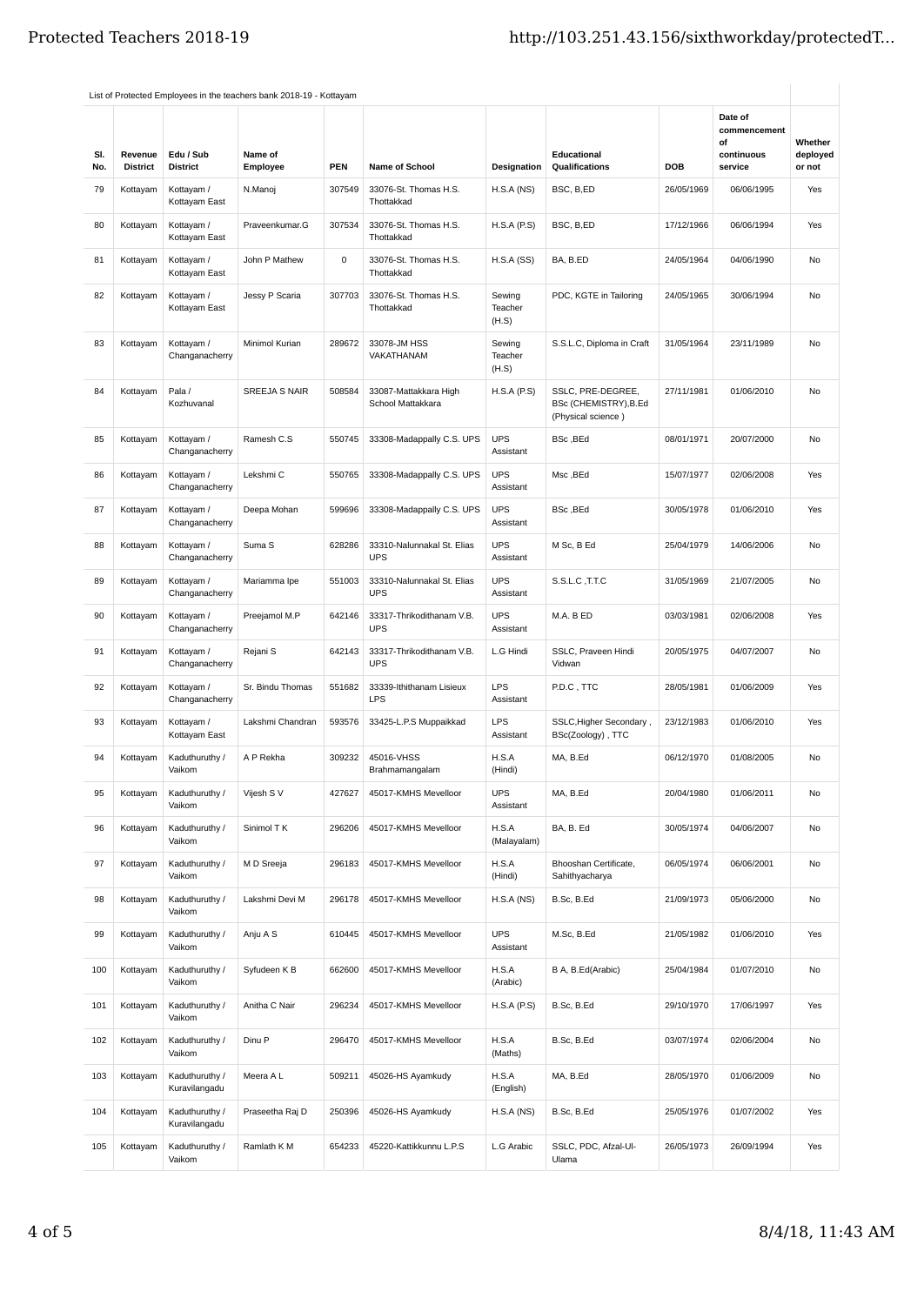| SI.<br>No. | Revenue<br><b>District</b> | Edu / Sub<br><b>District</b>    | Name of<br>Employee | <b>PEN</b>  | <b>Name of School</b>                      | Designation                | <b>Educational</b><br>Qualifications                             | DOB        | Date of<br>commencement<br>οf<br>continuous<br>service | Whether<br>deployed<br>or not |
|------------|----------------------------|---------------------------------|---------------------|-------------|--------------------------------------------|----------------------------|------------------------------------------------------------------|------------|--------------------------------------------------------|-------------------------------|
| 79         | Kottayam                   | Kottayam /<br>Kottayam East     | N.Manoj             | 307549      | 33076-St. Thomas H.S.<br>Thottakkad        | H.S.A(NS)                  | BSC, B,ED                                                        | 26/05/1969 | 06/06/1995                                             | Yes                           |
| 80         | Kottayam                   | Kottayam /<br>Kottayam East     | Praveenkumar.G      | 307534      | 33076-St. Thomas H.S.<br>Thottakkad        | H.S.A(P.S)                 | BSC, B,ED                                                        | 17/12/1966 | 06/06/1994                                             | Yes                           |
| 81         | Kottayam                   | Kottayam /<br>Kottayam East     | John P Mathew       | $\mathsf 0$ | 33076-St. Thomas H.S.<br>Thottakkad        | H.S.A(SS)                  | BA, B.ED                                                         | 24/05/1964 | 04/06/1990                                             | No                            |
| 82         | Kottayam                   | Kottayam /<br>Kottayam East     | Jessy P Scaria      | 307703      | 33076-St. Thomas H.S.<br>Thottakkad        | Sewing<br>Teacher<br>(H.S) | PDC, KGTE in Tailoring                                           | 24/05/1965 | 30/06/1994                                             | No                            |
| 83         | Kottayam                   | Kottayam /<br>Changanacherry    | Minimol Kurian      | 289672      | 33078-JM HSS<br>VAKATHANAM                 | Sewing<br>Teacher<br>(H.S) | S.S.L.C, Diploma in Craft                                        | 31/05/1964 | 23/11/1989                                             | No                            |
| 84         | Kottayam                   | Pala /<br>Kozhuvanal            | SREEJA S NAIR       | 508584      | 33087-Mattakkara High<br>School Mattakkara | H.S.A(P.S)                 | SSLC, PRE-DEGREE,<br>BSc (CHEMISTRY), B.Ed<br>(Physical science) | 27/11/1981 | 01/06/2010                                             | N <sub>0</sub>                |
| 85         | Kottayam                   | Kottayam /<br>Changanacherry    | Ramesh C.S          | 550745      | 33308-Madappally C.S. UPS                  | <b>UPS</b><br>Assistant    | BSc, BEd                                                         | 08/01/1971 | 20/07/2000                                             | No                            |
| 86         | Kottayam                   | Kottayam /<br>Changanacherry    | Lekshmi C           | 550765      | 33308-Madappally C.S. UPS                  | <b>UPS</b><br>Assistant    | Msc, BEd                                                         | 15/07/1977 | 02/06/2008                                             | Yes                           |
| 87         | Kottayam                   | Kottayam /<br>Changanacherry    | Deepa Mohan         | 599696      | 33308-Madappally C.S. UPS                  | <b>UPS</b><br>Assistant    | BSc, BEd                                                         | 30/05/1978 | 01/06/2010                                             | Yes                           |
| 88         | Kottayam                   | Kottayam /<br>Changanacherry    | Suma <sub>S</sub>   | 628286      | 33310-Nalunnakal St. Elias<br><b>UPS</b>   | <b>UPS</b><br>Assistant    | M Sc, B Ed                                                       | 25/04/1979 | 14/06/2006                                             | No                            |
| 89         | Kottayam                   | Kottayam /<br>Changanacherry    | Mariamma Ipe        | 551003      | 33310-Nalunnakal St. Elias<br><b>UPS</b>   | <b>UPS</b><br>Assistant    | S.S.L.C, T.T.C                                                   | 31/05/1969 | 21/07/2005                                             | No                            |
| 90         | Kottayam                   | Kottayam /<br>Changanacherry    | Preejamol M.P       | 642146      | 33317-Thrikodithanam V.B.<br><b>UPS</b>    | <b>UPS</b><br>Assistant    | M.A. B ED                                                        | 03/03/1981 | 02/06/2008                                             | Yes                           |
| 91         | Kottayam                   | Kottayam /<br>Changanacherry    | Rejani S            | 642143      | 33317-Thrikodithanam V.B.<br><b>UPS</b>    | L.G Hindi                  | SSLC, Praveen Hindi<br>Vidwan                                    | 20/05/1975 | 04/07/2007                                             | No                            |
| 92         | Kottayam                   | Kottayam /<br>Changanacherry    | Sr. Bindu Thomas    | 551682      | 33339-Ithithanam Lisieux<br><b>LPS</b>     | <b>LPS</b><br>Assistant    | P.D.C, TTC                                                       | 28/05/1981 | 01/06/2009                                             | Yes                           |
| 93         | Kottayam                   | Kottayam /<br>Kottayam East     | Lakshmi Chandran    | 593576      | 33425-L.P.S Muppaikkad                     | <b>LPS</b><br>Assistant    | SSLC, Higher Secondary,<br>BSc(Zoology), TTC                     | 23/12/1983 | 01/06/2010                                             | Yes                           |
| 94         | Kottayam                   | Kaduthuruthy /<br>Vaikom        | A P Rekha           | 309232      | 45016-VHSS<br>Brahmamangalam               | H.S.A<br>(Hindi)           | MA, B.Ed                                                         | 06/12/1970 | 01/08/2005                                             | No                            |
| 95         | Kottayam                   | Kaduthuruthy /<br>Vaikom        | Vijesh S V          | 427627      | 45017-KMHS Mevelloor                       | <b>UPS</b><br>Assistant    | MA, B.Ed                                                         | 20/04/1980 | 01/06/2011                                             | No                            |
| 96         | Kottayam                   | Kaduthuruthy /<br>Vaikom        | Sinimol T K         | 296206      | 45017-KMHS Mevelloor                       | H.S.A<br>(Malayalam)       | BA, B. Ed                                                        | 30/05/1974 | 04/06/2007                                             | No                            |
| 97         | Kottayam                   | Kaduthuruthy /<br>Vaikom        | M D Sreeja          | 296183      | 45017-KMHS Mevelloor                       | H.S.A<br>(Hindi)           | Bhooshan Certificate,<br>Sahithyacharya                          | 06/05/1974 | 06/06/2001                                             | No                            |
| 98         | Kottayam                   | Kaduthuruthy /<br>Vaikom        | Lakshmi Devi M      | 296178      | 45017-KMHS Mevelloor                       | H.S.A(NS)                  | B.Sc, B.Ed                                                       | 21/09/1973 | 05/06/2000                                             | No                            |
| 99         | Kottayam                   | Kaduthuruthy /<br>Vaikom        | Anju A S            | 610445      | 45017-KMHS Mevelloor                       | <b>UPS</b><br>Assistant    | M.Sc, B.Ed                                                       | 21/05/1982 | 01/06/2010                                             | Yes                           |
| 100        | Kottayam                   | Kaduthuruthy /<br>Vaikom        | Syfudeen K B        | 662600      | 45017-KMHS Mevelloor                       | H.S.A<br>(Arabic)          | B A, B.Ed(Arabic)                                                | 25/04/1984 | 01/07/2010                                             | No                            |
| 101        | Kottayam                   | Kaduthuruthy /<br>Vaikom        | Anitha C Nair       | 296234      | 45017-KMHS Mevelloor                       | H.S.A(P.S)                 | B.Sc, B.Ed                                                       | 29/10/1970 | 17/06/1997                                             | Yes                           |
| 102        | Kottayam                   | Kaduthuruthy /<br>Vaikom        | Dinu P              | 296470      | 45017-KMHS Mevelloor                       | H.S.A<br>(Maths)           | B.Sc, B.Ed                                                       | 03/07/1974 | 02/06/2004                                             | No                            |
| 103        | Kottayam                   | Kaduthuruthy /<br>Kuravilangadu | Meera A L           | 509211      | 45026-HS Ayamkudy                          | H.S.A<br>(English)         | MA, B.Ed                                                         | 28/05/1970 | 01/06/2009                                             | No                            |
| 104        | Kottayam                   | Kaduthuruthy /<br>Kuravilangadu | Praseetha Raj D     | 250396      | 45026-HS Ayamkudy                          | H.S.A(NS)                  | B.Sc, B.Ed                                                       | 25/05/1976 | 01/07/2002                                             | Yes                           |
| 105        | Kottayam                   | Kaduthuruthy /<br>Vaikom        | Ramlath K M         | 654233      | 45220-Kattikkunnu L.P.S                    | L.G Arabic                 | SSLC, PDC, Afzal-Ul-<br>Ulama                                    | 26/05/1973 | 26/09/1994                                             | Yes                           |